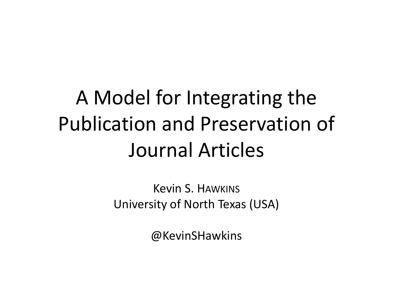#### A Model for Integrating the Publication and Preservation of Journal Articles

Kevin S. HAWKINS University of North Texas (USA)

@KevinSHawkins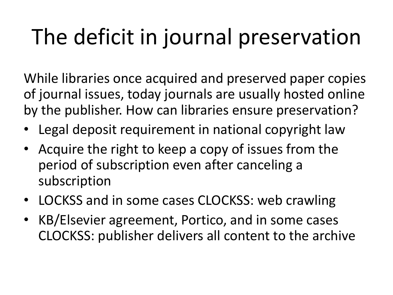## The deficit in journal preservation

While libraries once acquired and preserved paper copies of journal issues, today journals are usually hosted online by the publisher. How can libraries ensure preservation?

- Legal deposit requirement in national copyright law
- Acquire the right to keep a copy of issues from the period of subscription even after canceling a subscription
- LOCKSS and in some cases CLOCKSS: web crawling
- KB/Elsevier agreement, Portico, and in some cases CLOCKSS: publisher delivers all content to the archive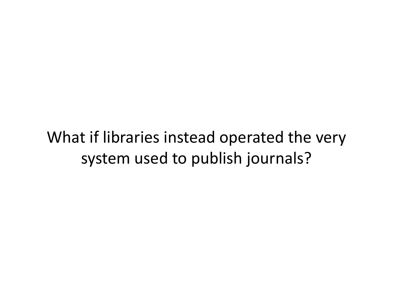What if libraries instead operated the very system used to publish journals?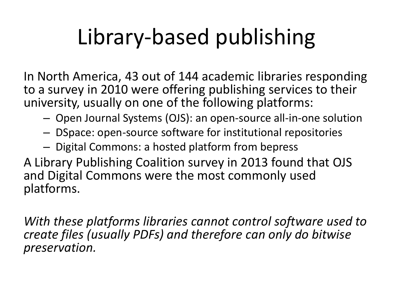## Library-based publishing

In North America, 43 out of 144 academic libraries responding to a survey in 2010 were offering publishing services to their university, usually on one of the following platforms:

- Open Journal Systems (OJS): an open-source all-in-one solution
- DSpace: open-source software for institutional repositories
- Digital Commons: a hosted platform from bepress

A Library Publishing Coalition survey in 2013 found that OJS and Digital Commons were the most commonly used platforms.

*With these platforms libraries cannot control software used to create files (usually PDFs) and therefore can only do bitwise preservation.*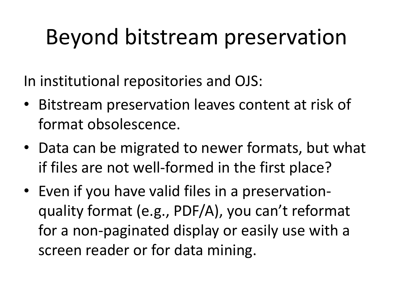#### Beyond bitstream preservation

In institutional repositories and OJS:

- Bitstream preservation leaves content at risk of format obsolescence.
- Data can be migrated to newer formats, but what if files are not well-formed in the first place?
- Even if you have valid files in a preservationquality format (e.g., PDF/A), you can't reformat for a non-paginated display or easily use with a screen reader or for data mining.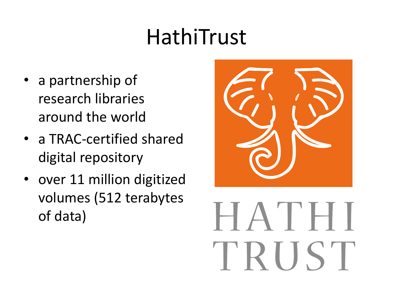#### HathiTrust

- a partnership of research libraries around the world
- a TRAC-certified shared digital repository
- over 11 million digitized volumes (512 terabytes of data)



# HATHI TRUST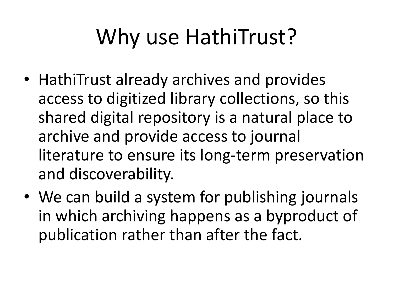### Why use HathiTrust?

- HathiTrust already archives and provides access to digitized library collections, so this shared digital repository is a natural place to archive and provide access to journal literature to ensure its long-term preservation and discoverability.
- We can build a system for publishing journals in which archiving happens as a byproduct of publication rather than after the fact.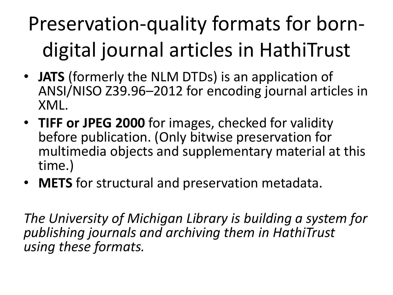#### Preservation-quality formats for borndigital journal articles in HathiTrust

- **JATS** (formerly the NLM DTDs) is an application of ANSI/NISO Z39.96–2012 for encoding journal articles in XML.
- **TIFF or JPEG 2000** for images, checked for validity before publication. (Only bitwise preservation for multimedia objects and supplementary material at this time.)
- **METS** for structural and preservation metadata.

*The University of Michigan Library is building a system for publishing journals and archiving them in HathiTrust using these formats.*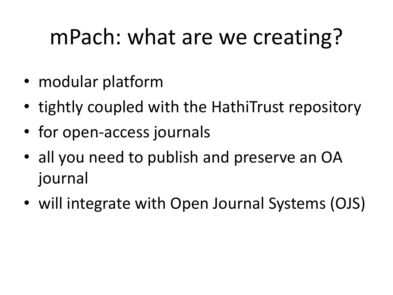#### mPach: what are we creating?

- modular platform
- tightly coupled with the HathiTrust repository
- for open-access journals
- all you need to publish and preserve an OA journal
- will integrate with Open Journal Systems (OJS)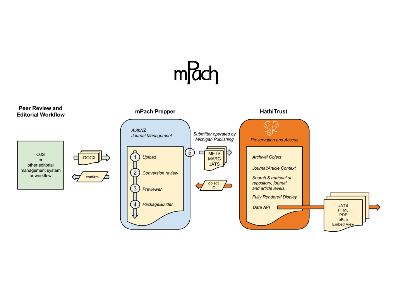

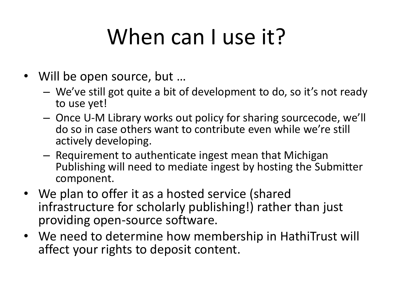### When can Luse it?

- Will be open source, but ...
	- We've still got quite a bit of development to do, so it's not ready to use yet!
	- Once U-M Library works out policy for sharing sourcecode, we'll do so in case others want to contribute even while we're still actively developing.
	- Requirement to authenticate ingest mean that Michigan Publishing will need to mediate ingest by hosting the Submitter component.
- We plan to offer it as a hosted service (shared infrastructure for scholarly publishing!) rather than just providing open-source software.
- We need to determine how membership in HathiTrust will affect your rights to deposit content.